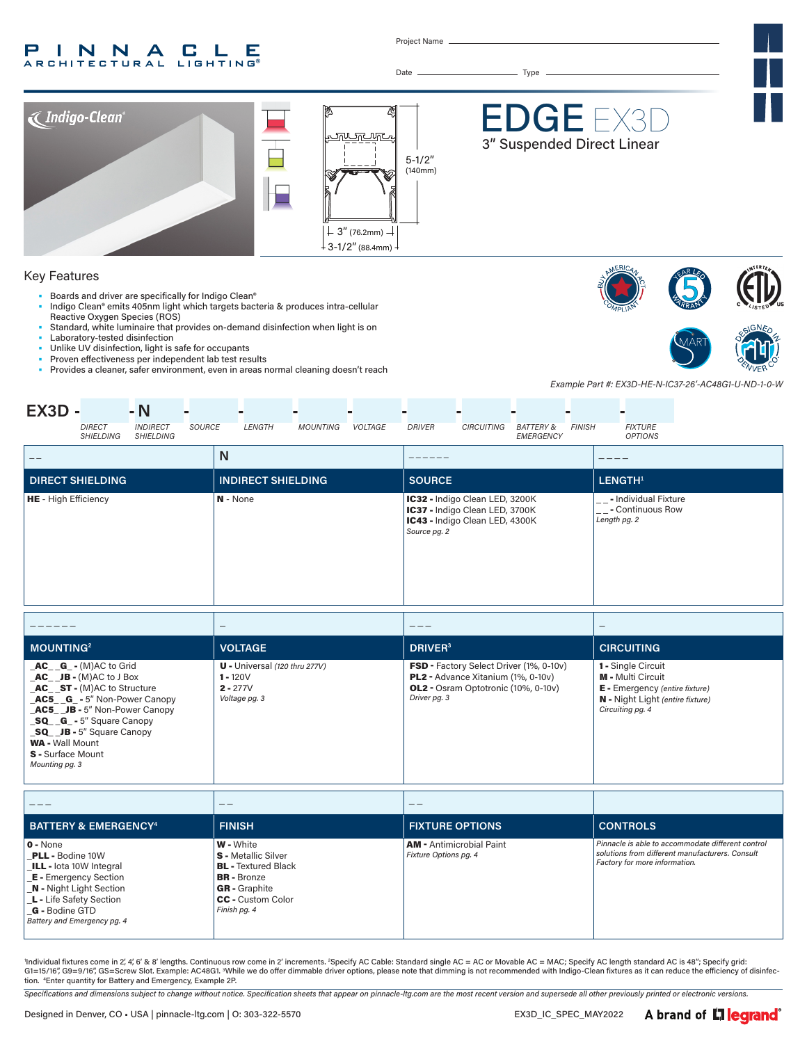### P INNA **CLE ARCHITECTURAL LIGHTING®**

Project Name

Date Type



# Key Features

- Boards and driver are specifically for Indigo Clean®
- Indigo Clean® emits 405nm light which targets bacteria & produces intra-cellular Reactive Oxygen Species (ROS)
- Standard, white luminaire that provides on-demand disinfection when light is on
- Laboratory-tested disinfection
- Unlike UV disinfection, light is safe for occupants
- Proven effectiveness per independent lab test results
- Provides a cleaner, safer environment, even in areas normal cleaning doesn't reach





*Example Part #: EX3D-HE-N-IC37-26'-AC48G1-U-ND-1-0-W*

| $EX3D -$                    |                            | $-N$                                |        |                           |                 |         |               |                                                                                                    |                                   |               |                                                          |  |
|-----------------------------|----------------------------|-------------------------------------|--------|---------------------------|-----------------|---------|---------------|----------------------------------------------------------------------------------------------------|-----------------------------------|---------------|----------------------------------------------------------|--|
|                             | <b>DIRECT</b><br>SHIELDING | <b>INDIRECT</b><br><b>SHIELDING</b> | SOURCE | LENGTH                    | <b>MOUNTING</b> | VOLTAGE | DRIVER        | <b>CIRCUITING</b>                                                                                  | <b>BATTERY &amp;</b><br>EMERGENCY | <b>FINISH</b> | <b>FIXTURE</b><br><b>OPTIONS</b>                         |  |
| $- -$                       |                            |                                     |        | N                         |                 |         |               |                                                                                                    |                                   |               |                                                          |  |
|                             | <b>DIRECT SHIELDING</b>    |                                     |        | <b>INDIRECT SHIELDING</b> |                 |         | <b>SOURCE</b> |                                                                                                    |                                   |               | LENGTH <sup>1</sup>                                      |  |
| <b>HE</b> - High Efficiency |                            |                                     |        | N - None                  |                 |         | Source pg. 2  | IC32 - Indigo Clean LED, 3200K<br>IC37 - Indigo Clean LED, 3700K<br>IC43 - Indigo Clean LED, 4300K |                                   | --            | - Individual Fixture<br>- Continuous Row<br>Length pg. 2 |  |
|                             |                            |                                     |        |                           |                 |         |               |                                                                                                    |                                   |               |                                                          |  |

| <b>MOUNTING2</b>                                                                                                                                                                                                                                                                                               | <b>VOLTAGE</b>                                                               | DRIVER <sup>3</sup>                                                                                                                                       | <b>CIRCUITING</b>                                                                                                                                      |
|----------------------------------------------------------------------------------------------------------------------------------------------------------------------------------------------------------------------------------------------------------------------------------------------------------------|------------------------------------------------------------------------------|-----------------------------------------------------------------------------------------------------------------------------------------------------------|--------------------------------------------------------------------------------------------------------------------------------------------------------|
| $AC$ $G - (M)AC$ to Grid<br>$AC$ JB - $(M)AC$ to J Box<br><b>AC</b> ST - (M)AC to Structure<br><b>AC5 G</b> - 5" Non-Power Canopy<br><b>AC5</b> JB - 5" Non-Power Canopy<br><b>SQ G</b> - 5" Square Canopy<br>SQ JB - 5" Square Canopy<br><b>WA - Wall Mount</b><br><b>S</b> - Surface Mount<br>Mounting pg. 3 | $U$ - Universal (120 thru 277V)<br>$1 - 120V$<br>$2 - 277V$<br>Voltage pg. 3 | <b>FSD</b> - Factory Select Driver (1%, 0-10v)<br><b>PL2</b> - Advance Xitanium (1%, 0-10v)<br><b>OL2</b> - Osram Optotronic (10%, 0-10v)<br>Driver pg. 3 | <b>1 - Single Circuit</b><br><b>M</b> - Multi Circuit<br><b>E</b> - Emergency (entire fixture)<br>N - Night Light (entire fixture)<br>Circuiting pg. 4 |

|                                                                                                                                                                                                                                     |                                                                                                                                                                        | __                                                       |                                                                                                                                       |
|-------------------------------------------------------------------------------------------------------------------------------------------------------------------------------------------------------------------------------------|------------------------------------------------------------------------------------------------------------------------------------------------------------------------|----------------------------------------------------------|---------------------------------------------------------------------------------------------------------------------------------------|
| <b>BATTERY &amp; EMERGENCY4</b>                                                                                                                                                                                                     | <b>FINISH</b>                                                                                                                                                          | <b>FIXTURE OPTIONS</b>                                   | <b>CONTROLS</b>                                                                                                                       |
| $0 - None$<br><b>PLL - Bodine 10W</b><br><b>ILL</b> - lota 10W Integral<br><b>E</b> - Emergency Section<br><b>N</b> - Night Light Section<br><b>L</b> - Life Safety Section<br><b>G</b> - Bodine GTD<br>Battery and Emergency pg. 4 | <b>W</b> - White<br><b>S</b> - Metallic Silver<br><b>BL</b> - Textured Black<br><b>BR</b> - Bronze<br><b>GR</b> - Graphite<br><b>CC</b> - Custom Color<br>Finish pg. 4 | <b>AM</b> - Antimicrobial Paint<br>Fixture Options pg. 4 | Pinnacle is able to accommodate different control<br>solutions from different manufacturers, Consult<br>Factory for more information. |

'Individual fixtures come in 2, 4, 6′ & 8′ lengths. Continuous row come in 2′ increments. <sup>2</sup>Specify AC Cable: Standard single AC = AC or Movable AC = MAC; Specify AC length standard AC is 48″; Specify grid:<br>G1=15/16″, G9= tion. 4 Enter quantity for Battery and Emergency, Example 2P.

*Specifications and dimensions subject to change without notice. Specification sheets that appear on pinnacle-ltg.com are the most recent version and supersede all other previously printed or electronic versions.*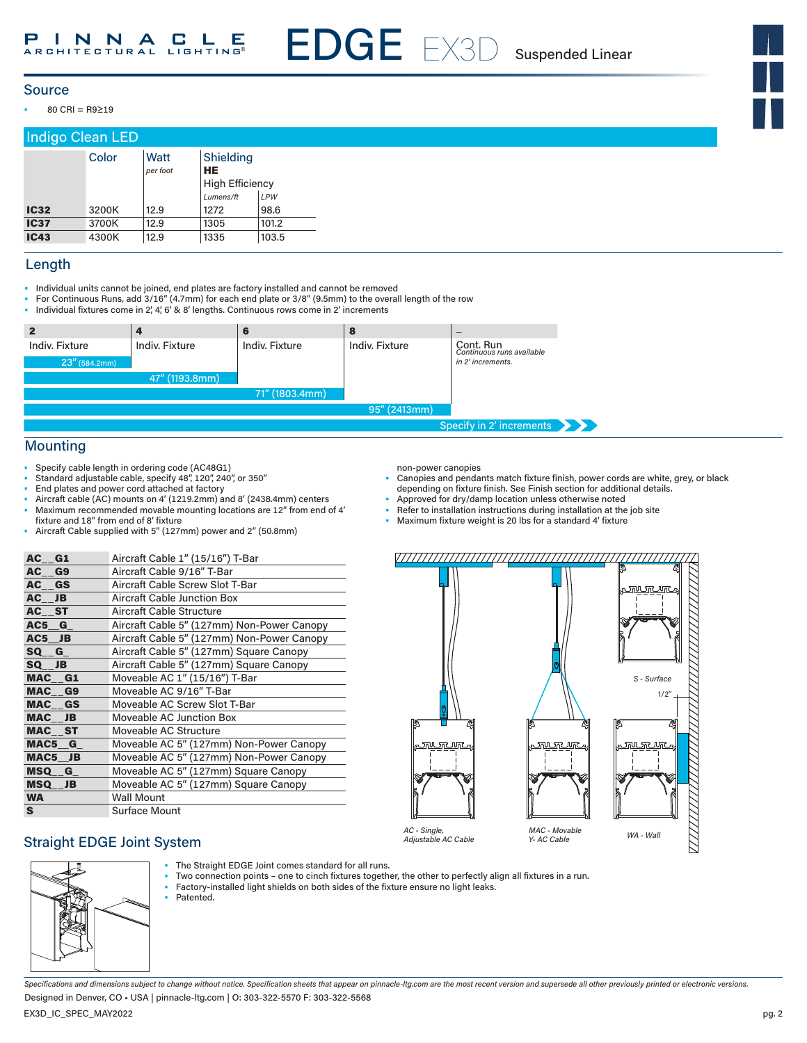EDGE EX3D Suspended Linear

### Source

• 80 CRI = R9≥19

# Indigo Clean LED

|             | Color | Watt<br>per foot | Shielding<br>HE        |       |
|-------------|-------|------------------|------------------------|-------|
|             |       |                  | <b>High Efficiency</b> |       |
|             |       |                  | Lumens/ft              | LPW   |
| <b>IC32</b> | 3200K | 12.9             | 1272                   | 98.6  |
| <b>IC37</b> | 3700K | 12.9             | 1305                   | 101.2 |
| <b>IC43</b> | 4300K | 12.9             | 1335                   | 103.5 |

### Length

- Individual units cannot be joined, end plates are factory installed and cannot be removed
- For Continuous Runs, add 3/16" (4.7mm) for each end plate or 3/8" (9.5mm) to the overall length of the row<br>• Individual fixtures come in 2' 4' 6' & 8' lengths. Continuous rows come in 2' increments
- Individual fixtures come in 2', 4', 6' & 8' lengths. Continuous rows come in 2' increments

| $\mathbf{2}$                    |                |                | 8              | $\overline{\phantom{a}}$                                    |
|---------------------------------|----------------|----------------|----------------|-------------------------------------------------------------|
| Indiv. Fixture<br>23" (584.2mm) | Indiv. Fixture | Indiv. Fixture | Indiv. Fixture | Cont. Run<br>Continuous runs available<br>in 2' increments. |
|                                 | 47" (1193.8mm) |                |                |                                                             |
|                                 |                | 71" (1803.4mm) |                |                                                             |
|                                 |                |                | 95" (2413mm)   |                                                             |
|                                 |                |                |                | Specify in 2' increments                                    |

### Mounting

- Specify cable length in ordering code (AC48G1)
- Standard adjustable cable, specify 48", 120", 240", or 350"
- End plates and power cord attached at factory
- Aircraft cable (AC) mounts on 4' (1219.2mm) and 8' (2438.4mm) centers • Maximum recommended movable mounting locations are 12" from end of 4' fixture and 18" from end of 8' fixture
- Aircraft Cable supplied with 5" (127mm) power and 2" (50.8mm)

| AC G1   | Aircraft Cable 1" (15/16") T-Bar           |
|---------|--------------------------------------------|
| AC G9   | Aircraft Cable 9/16" T-Bar                 |
| AC GS   | Aircraft Cable Screw Slot T-Bar            |
| AC JB   | Aircraft Cable Junction Box                |
| AC ST   | <b>Aircraft Cable Structure</b>            |
| AC5 G   | Aircraft Cable 5" (127mm) Non-Power Canopy |
| AC5 JB  | Aircraft Cable 5" (127mm) Non-Power Canopy |
| SQ G    | Aircraft Cable 5" (127mm) Square Canopy    |
| SQ JB   | Aircraft Cable 5" (127mm) Square Canopy    |
| MAC G1  | Moveable AC 1" (15/16") T-Bar              |
| MAC G9  | Moveable AC 9/16" T-Bar                    |
| MAC GS  | Moveable AC Screw Slot T-Bar               |
| MAC JB  | Moveable AC Junction Box                   |
| MAC ST  | Moveable AC Structure                      |
| MAC5 G  | Moveable AC 5" (127mm) Non-Power Canopy    |
| MAC5 JB | Moveable AC 5" (127mm) Non-Power Canopy    |
| MSQ G   | Moveable AC 5" (127mm) Square Canopy       |
| MSQ__JB | Moveable AC 5" (127mm) Square Canopy       |
| WA      | <b>Wall Mount</b>                          |
| S.      | <b>Surface Mount</b>                       |

### non-power canopies

- Canopies and pendants match fixture finish, power cords are white, grey, or black depending on fixture finish. See Finish section for additional details.
- Approved for dry/damp location unless otherwise noted
- Refer to installation instructions during installation at the job site
- Maximum fixture weight is 20 lbs for a standard 4' fixture



Straight EDGE Joint System



- The Straight EDGE Joint comes standard for all runs.
- Two connection points one to cinch fixtures together, the other to perfectly align all fixtures in a run.
- Factory-installed light shields on both sides of the fixture ensure no light leaks. Patented.

*Specifications and dimensions subject to change without notice. Specification sheets that appear on pinnacle-ltg.com are the most recent version and supersede all other previously printed or electronic versions.* Designed in Denver, CO • USA | pinnacle-ltg.com | O: 303-322-5570 F: 303-322-5568

EX3D\_IC\_SPEC\_MAY2022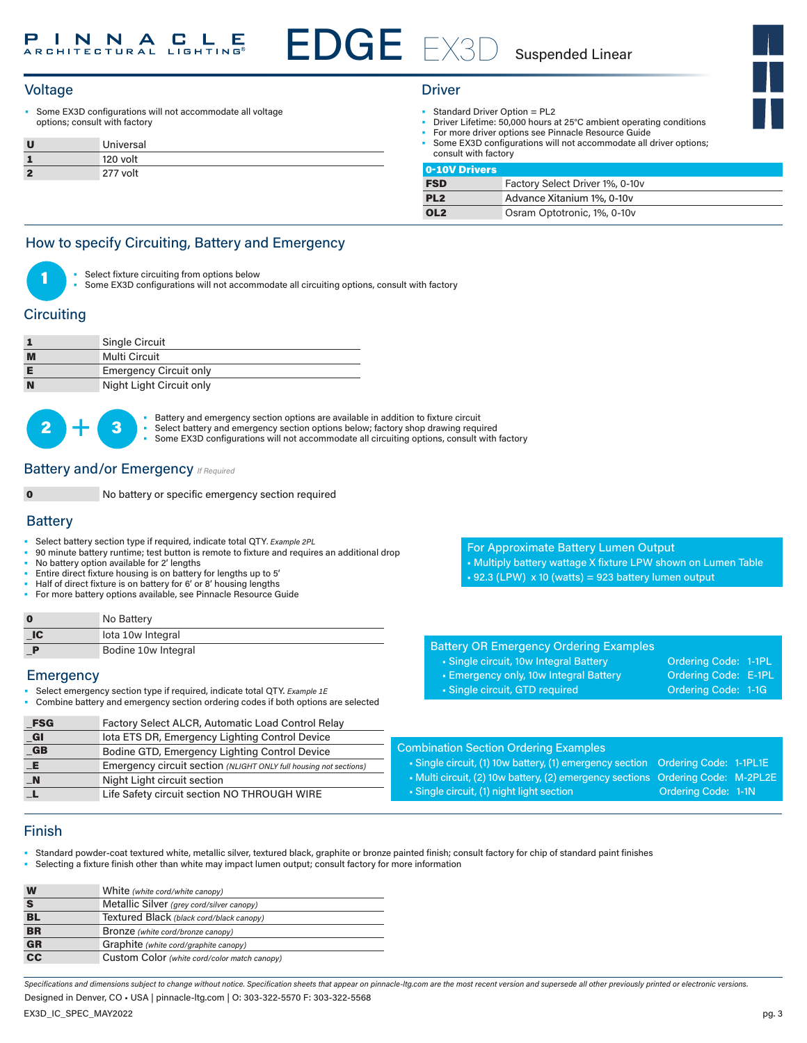# Voltage Driver (1999) and the United States of the United States of the United States of the United States of the U

Some EX3D configurations will not accommodate all voltage options; consult with factory

|              | Universal |
|--------------|-----------|
|              | 120 volt  |
| $\mathbf{a}$ | 277 volt  |

- Standard Driver Option = PL2
	- Driver Lifetime: 50,000 hours at 25°C ambient operating conditions
- For more driver options see Pinnacle Resource Guide
- Some EX3D configurations will not accommodate all driver options; consult with factory

| 0-10V Drivers   |                                 |
|-----------------|---------------------------------|
| <b>FSD</b>      | Factory Select Driver 1%, 0-10v |
| PL <sub>2</sub> | Advance Xitanium 1%, 0-10y      |
| OL <sub>2</sub> | Osram Optotronic, 1%, 0-10v     |

# How to specify Circuiting, Battery and Emergency



Select fixture circuiting from options below

Some EX3D configurations will not accommodate all circuiting options, consult with factory

# **Circuiting**

|   | <b>Single Circuit</b>         |
|---|-------------------------------|
| M | Multi Circuit                 |
|   | <b>Emergency Circuit only</b> |
| N | Night Light Circuit only      |



• Battery and emergency section options are available in addition to fixture circuit<br>
• Select battery and emergency section options below; factory shop drawing required • Some EX3D configurations will not accommodate all circuiting options, consult with factory

**Battery and/or Emergency**  *If Required* 

No battery or specific emergency section required

### **Battery**

- Select battery section type if required, indicate total QTY*. Example 2PL*
- 90 minute battery runtime; test button is remote to fixture and requires an additional drop
- No battery option available for 2' lengths
- Entire direct fixture housing is on battery for lengths up to 5'
- Half of direct fixture is on battery for 6' or 8' housing lengths
- For more battery options available, see Pinnacle Resource Guide

|          | No Battery          |
|----------|---------------------|
| $\Box C$ | lota 10w Integral   |
|          | Bodine 10w Integral |

### **Emergency**

- Select emergency section type if required, indicate total QTY. *Example 1E*
- Combine battery and emergency section ordering codes if both options are selected

Combination Section Ordering Examples • Single circuit, (1) 10w battery, (1) emergency section Ordering Code: 1-1PL1E • Multi circuit, (2) 10w battery, (2) emergency sections Ordering Code: M-2PL2E • Single circuit, (1) night light section **Ordering Code: 1-1N FSG** Factory Select ALCR, Automatic Load Control Relay \_GI Iota ETS DR, Emergency Lighting Control Device GB Bodine GTD, Emergency Lighting Control Device \_E Emergency circuit section *(NLIGHT ONLY full housing not sections)* \_N Night Light circuit section L Life Safety circuit section NO THROUGH WIRE

## Finish

• Standard powder-coat textured white, metallic silver, textured black, graphite or bronze painted finish; consult factory for chip of standard paint finishes

• Selecting a fixture finish other than white may impact lumen output; consult factory for more information

| W         | White (white cord/white canopy)              |
|-----------|----------------------------------------------|
| S         | Metallic Silver (grey cord/silver canopy)    |
| <b>BL</b> | Textured Black (black cord/black canopy)     |
| <b>BR</b> | Bronze (white cord/bronze canopy)            |
| <b>GR</b> | Graphite (white cord/graphite canopy)        |
| cc        | Custom Color (white cord/color match canopy) |

*Specifications and dimensions subject to change without notice. Specification sheets that appear on pinnacle-ltg.com are the most recent version and supersede all other previously printed or electronic versions.* Designed in Denver, CO • USA | pinnacle-ltg.com | O: 303-322-5570 F: 303-322-5568

For Approximate Battery Lumen Output

- Multiply battery wattage X fixture LPW shown on Lumen Table
- $\text{-}$  92.3 (LPW) x 10 (watts) = 923 battery lumen output

|  | <b>Battery OR Emergency Ordering Examples</b> |  |
|--|-----------------------------------------------|--|

- Single circuit, 10w Integral Battery **Ordering Code: 1-1PL**
- Emergency only, 10w Integral Battery **Ordering Code: E-1PL**
- Single circuit, GTD required Contact Condering Code: 1-1G
	-